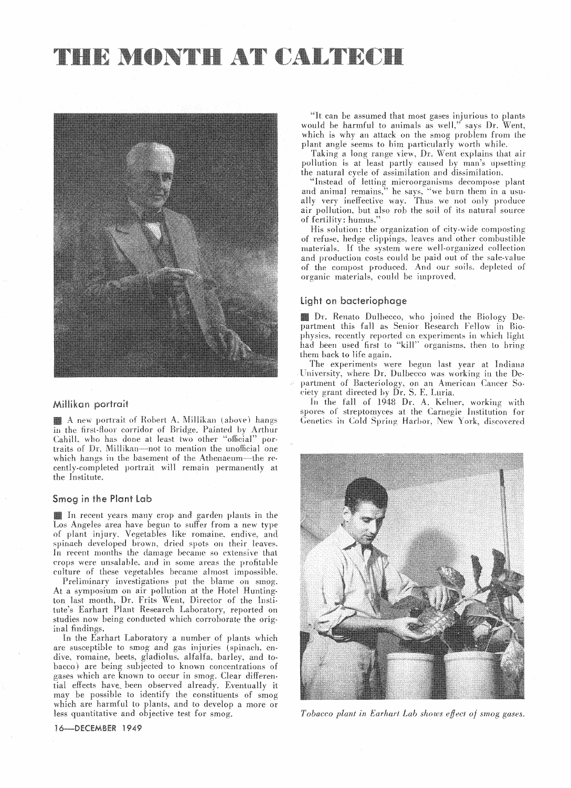# THE NONTH AT CALTICTH



### Millikan portrait

A new portrait of Robert A. Millikan (above) hangs in the first-floor corridor of Bridge, Painted by Arthur Cahill, who has done at least two other "official" portraits of Dr. Millikan-not to mention the unofficial one which hangs in the basement of the Athenaeum-the recently-completed portrait will remain permanently at the Institute.

## Smog in the Plant Lab

In recent years many crop and garden plants in the Los Angeles area have begun to suffer from a new type of plant injury. Vegetables like romaine, endive, and spinach developed brown, dried spots on their leaves. In recent months the damage became so extensive that crops were unsalable, and in some areas the profitable culture of these vegetables became almost impossible.

Preliminary investigations put the blame on smog. At a symposium on air pollution at the Hotel Huntington last month, Dr. Frits Went, Director of the Institute's Earhart Plant Research Laboratory, reported on studies now being conducted which corroborate the original findings.

In the Earhart Laboratory a number of plants which are susceptible to smog and gas injuries (spinach, endive, romaine, beets, gladiolus, alfalfa, barley, and tobacco) are being subjected to known concentrations of gases which are known to occur in smog. Clear differential effects have been observed already. Eventually it may be possible to identify the constituents of smog which are harmful to plants, and to develop a more or less quantitative and objective test for smog.

"It can be assumed that most gases injurious to plants would be harmful to animals as well," says Dr. Went, which is why an attack on the smog problem from the plant angle seems to him particularly worth while.

Taking a long range view, Dr. Went explains that air pollution is at least partly caused by man's upsetting the natural cycle of assimilation and dissimilation.

"Instead of letting microorganisms decompose plant<br>and animal remains," he says, "we burn them in a usu-<br>ally very ineffective way. Thus we not only produce air pollution, but also rob the soil of its natural source of fertility: humus."

His solution: the organization of city-wide composting of refuse, hedge clippings, leaves and other combustible materials. If the system were well-organized collection and production costs could be paid out of the sale-value of the compost produced. And our soils, depleted of organic materials, could be improved.

## Light on bacteriophage.

Dr. Renato Dulbecco, who joined the Biology Department this fall as Senior Research Fellow in Biophysics, recently reported on experiments in which light had been used first to "kill" organisms, then to bring them back to life again.

The experiments were begun last year at Indiana University, where Dr. Dulbecco was working in the Department of Bacteriology, on an American Cancer Society grant directed by Dr. S. E. Luria.

In the fall of 1948 Dr. A. Kelner, working with spores of streptomyces at the Carnegie Institution for Genetics in Cold Spring Harbor, New York, discovered



Tobacco plant in Earhart Lab shows effect of smog gases.

16-DECEMBER 1949